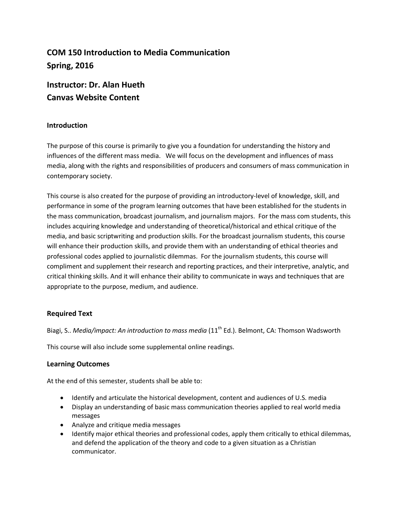# **COM 150 Introduction to Media Communication Spring, 2016**

# **Instructor: Dr. Alan Hueth Canvas Website Content**

# **Introduction**

The purpose of this course is primarily to give you a foundation for understanding the history and influences of the different mass media. We will focus on the development and influences of mass media, along with the rights and responsibilities of producers and consumers of mass communication in contemporary society.

This course is also created for the purpose of providing an introductory-level of knowledge, skill, and performance in some of the program learning outcomes that have been established for the students in the mass communication, broadcast journalism, and journalism majors. For the mass com students, this includes acquiring knowledge and understanding of theoretical/historical and ethical critique of the media, and basic scriptwriting and production skills. For the broadcast journalism students, this course will enhance their production skills, and provide them with an understanding of ethical theories and professional codes applied to journalistic dilemmas. For the journalism students, this course will compliment and supplement their research and reporting practices, and their interpretive, analytic, and critical thinking skills. And it will enhance their ability to communicate in ways and techniques that are appropriate to the purpose, medium, and audience.

# **Required Text**

Biagi, S.. *Media/impact: An introduction to mass media* (11th Ed.). Belmont, CA: Thomson Wadsworth

This course will also include some supplemental online readings.

# **Learning Outcomes**

At the end of this semester, students shall be able to:

- Identify and articulate the historical development, content and audiences of U.S. media
- Display an understanding of basic mass communication theories applied to real world media messages
- Analyze and critique media messages
- Identify major ethical theories and professional codes, apply them critically to ethical dilemmas, and defend the application of the theory and code to a given situation as a Christian communicator.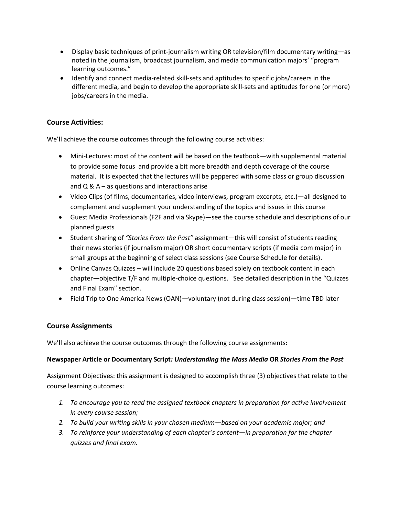- Display basic techniques of print-journalism writing OR television/film documentary writing—as noted in the journalism, broadcast journalism, and media communication majors' "program learning outcomes."
- Identify and connect media-related skill-sets and aptitudes to specific jobs/careers in the different media, and begin to develop the appropriate skill-sets and aptitudes for one (or more) jobs/careers in the media.

# **Course Activities:**

We'll achieve the course outcomes through the following course activities:

- Mini-Lectures: most of the content will be based on the textbook—with supplemental material to provide some focus and provide a bit more breadth and depth coverage of the course material. It is expected that the lectures will be peppered with some class or group discussion and  $Q$  &  $A$  – as questions and interactions arise
- Video Clips (of films, documentaries, video interviews, program excerpts, etc.)—all designed to complement and supplement your understanding of the topics and issues in this course
- Guest Media Professionals (F2F and via Skype)—see the course schedule and descriptions of our planned guests
- Student sharing of *"Stories From the Past"* assignment—this will consist of students reading their news stories (if journalism major) OR short documentary scripts (if media com major) in small groups at the beginning of select class sessions (see Course Schedule for details).
- Online Canvas Quizzes will include 20 questions based solely on textbook content in each chapter—objective T/F and multiple-choice questions. See detailed description in the "Quizzes and Final Exam" section.
- Field Trip to One America News (OAN)—voluntary (not during class session)—time TBD later

# **Course Assignments**

We'll also achieve the course outcomes through the following course assignments:

# **Newspaper Article or Documentary Script***: Understanding the Mass Media* **OR** *Stories From the Past*

Assignment Objectives: this assignment is designed to accomplish three (3) objectives that relate to the course learning outcomes:

- *1. To encourage you to read the assigned textbook chapters in preparation for active involvement in every course session;*
- *2. To build your writing skills in your chosen medium—based on your academic major; and*
- *3. To reinforce your understanding of each chapter's content—in preparation for the chapter quizzes and final exam.*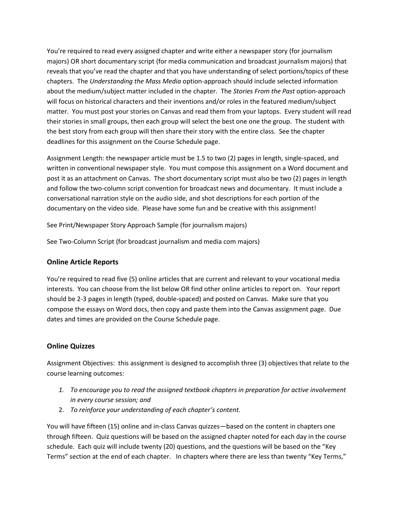You're required to read every assigned chapter and write either a newspaper story (for journalism majors) OR short documentary script (for media communication and broadcast journalism majors) that reveals that you've read the chapter and that you have understanding of select portions/topics of these chapters. The *Understanding the Mass Media* option-approach should include selected information about the medium/subject matter included in the chapter. The *Stories From the Past* option-approach will focus on historical characters and their inventions and/or roles in the featured medium/subject matter. You must post your stories on Canvas and read them from your laptops. Every student will read their stories in small groups, then each group will select the best one one the group. The student with the best story from each group will then share their story with the entire class. See the chapter deadlines for this assignment on the Course Schedule page.

Assignment Length: the newspaper article must be 1.5 to two (2) pages in length, single-spaced, and written in conventional newspaper style. You must compose this assignment on a Word document and post it as an attachment on Canvas. The short documentary script must also be two (2) pages in length and follow the two-column script convention for broadcast news and documentary. It must include a conversational narration style on the audio side, and shot descriptions for each portion of the documentary on the video side. Please have some fun and be creative with this assignment!

See Print/Newspaper Story Approach Sample (for journalism majors)

See Two-Column Script (for broadcast journalism and media com majors)

# **Online Article Reports**

You're required to read five (5) online articles that are current and relevant to your vocational media interests. You can choose from the list below OR find other online articles to report on. Your report should be 2-3 pages in length (typed, double-spaced) and posted on Canvas. Make sure that you compose the essays on Word docs, then copy and paste them into the Canvas assignment page. Due dates and times are provided on the Course Schedule page.

# **Online Quizzes**

Assignment Objectives: this assignment is designed to accomplish three (3) objectives that relate to the course learning outcomes:

- *1. To encourage you to read the assigned textbook chapters in preparation for active involvement in every course session; and*
- 2. *To reinforce your understanding of each chapter's content.*

You will have fifteen (15) online and in-class Canvas quizzes—based on the content in chapters one through fifteen. Quiz questions will be based on the assigned chapter noted for each day in the course schedule. Each quiz will include twenty (20) questions, and the questions will be based on the "Key Terms" section at the end of each chapter. In chapters where there are less than twenty "Key Terms,"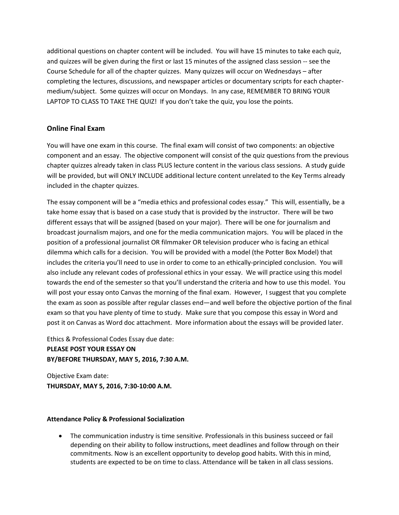additional questions on chapter content will be included. You will have 15 minutes to take each quiz, and quizzes will be given during the first or last 15 minutes of the assigned class session -- see the Course Schedule for all of the chapter quizzes. Many quizzes will occur on Wednesdays – after completing the lectures, discussions, and newspaper articles or documentary scripts for each chaptermedium/subject. Some quizzes will occur on Mondays. In any case, REMEMBER TO BRING YOUR LAPTOP TO CLASS TO TAKE THE QUIZ! If you don't take the quiz, you lose the points.

## **Online Final Exam**

You will have one exam in this course. The final exam will consist of two components: an objective component and an essay. The objective component will consist of the quiz questions from the previous chapter quizzes already taken in class PLUS lecture content in the various class sessions. A study guide will be provided, but will ONLY INCLUDE additional lecture content unrelated to the Key Terms already included in the chapter quizzes.

The essay component will be a "media ethics and professional codes essay." This will, essentially, be a take home essay that is based on a case study that is provided by the instructor. There will be two different essays that will be assigned (based on your major). There will be one for journalism and broadcast journalism majors, and one for the media communication majors. You will be placed in the position of a professional journalist OR filmmaker OR television producer who is facing an ethical dilemma which calls for a decision. You will be provided with a model (the Potter Box Model) that includes the criteria you'll need to use in order to come to an ethically-principled conclusion. You will also include any relevant codes of professional ethics in your essay. We will practice using this model towards the end of the semester so that you'll understand the criteria and how to use this model. You will post your essay onto Canvas the morning of the final exam. However, I suggest that you complete the exam as soon as possible after regular classes end—and well before the objective portion of the final exam so that you have plenty of time to study. Make sure that you compose this essay in Word and post it on Canvas as Word doc attachment. More information about the essays will be provided later.

Ethics & Professional Codes Essay due date: **PLEASE POST YOUR ESSAY ON BY/BEFORE THURSDAY, MAY 5, 2016, 7:30 A.M.**

Objective Exam date: **THURSDAY, MAY 5, 2016, 7:30-10:00 A.M.**

## **Attendance Policy & Professional Socialization**

 The communication industry is time sensitiv*e.* Professionals in this business succeed or fail depending on their ability to follow instructions, meet deadlines and follow through on their commitments. Now is an excellent opportunity to develop good habits. With this in mind, students are expected to be on time to class. Attendance will be taken in all class sessions.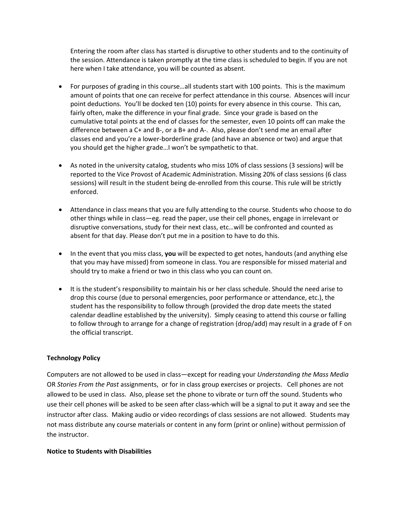Entering the room after class has started is disruptive to other students and to the continuity of the session. Attendance is taken promptly at the time class is scheduled to begin. If you are not here when I take attendance, you will be counted as absent.

- For purposes of grading in this course…all students start with 100 points. This is the maximum amount of points that one can receive for perfect attendance in this course. Absences will incur point deductions. You'll be docked ten (10) points for every absence in this course. This can, fairly often, make the difference in your final grade. Since your grade is based on the cumulative total points at the end of classes for the semester, even 10 points off can make the difference between a C+ and B-, or a B+ and A-. Also, please don't send me an email after classes end and you're a lower-borderline grade (and have an absence or two) and argue that you should get the higher grade…I won't be sympathetic to that.
- As noted in the university catalog, students who miss 10% of class sessions (3 sessions) will be reported to the Vice Provost of Academic Administration. Missing 20% of class sessions (6 class sessions) will result in the student being de-enrolled from this course. This rule will be strictly enforced.
- Attendance in class means that you are fully attending to the course. Students who choose to do other things while in class—eg. read the paper, use their cell phones, engage in irrelevant or disruptive conversations, study for their next class, etc…will be confronted and counted as absent for that day. Please don't put me in a position to have to do this.
- In the event that you miss class, **you** will be expected to get notes, handouts (and anything else that you may have missed) from someone in class. You are responsible for missed material and should try to make a friend or two in this class who you can count on.
- It is the student's responsibility to maintain his or her class schedule. Should the need arise to drop this course (due to personal emergencies, poor performance or attendance, etc.), the student has the responsibility to follow through (provided the drop date meets the stated calendar deadline established by the university). Simply ceasing to attend this course or falling to follow through to arrange for a change of registration (drop/add) may result in a grade of F on the official transcript.

## **Technology Policy**

Computers are not allowed to be used in class—except for reading your *Understanding the Mass Media* OR *Stories From the Past* assignments, or for in class group exercises or projects. Cell phones are not allowed to be used in class. Also, please set the phone to vibrate or turn off the sound. Students who use their cell phones will be asked to be seen after class-which will be a signal to put it away and see the instructor after class. Making audio or video recordings of class sessions are not allowed. Students may not mass distribute any course materials or content in any form (print or online) without permission of the instructor.

## **Notice to Students with Disabilities**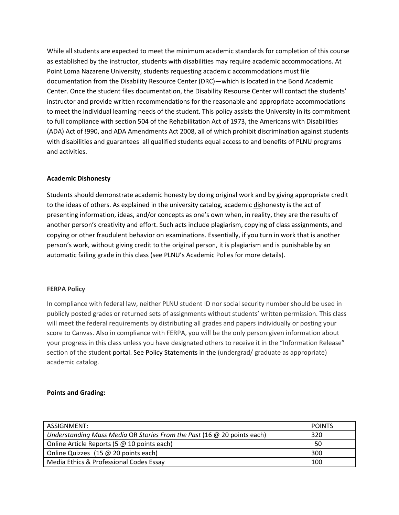While all students are expected to meet the minimum academic standards for completion of this course as established by the instructor, students with disabilities may require academic accommodations. At Point Loma Nazarene University, students requesting academic accommodations must file documentation from the Disability Resource Center (DRC)—which is located in the Bond Academic Center. Once the student files documentation, the Disability Resourse Center will contact the students' instructor and provide written recommendations for the reasonable and appropriate accommodations to meet the individual learning needs of the student. This policy assists the University in its commitment to full compliance with section 504 of the Rehabilitation Act of 1973, the Americans with Disabilities (ADA) Act of !990, and ADA Amendments Act 2008, all of which prohibit discrimination against students with disabilities and guarantees all qualified students equal access to and benefits of PLNU programs and activities.

#### **Academic Dishonesty**

Students should demonstrate academic honesty by doing original work and by giving appropriate credit to the ideas of others. As explained in the university catalog, academic dishonesty is the act of presenting information, ideas, and/or concepts as one's own when, in reality, they are the results of another person's creativity and effort. Such acts include plagiarism, copying of class assignments, and copying or other fraudulent behavior on examinations. Essentially, if you turn in work that is another person's work, without giving credit to the original person, it is plagiarism and is punishable by an automatic failing grade in this class (see PLNU's Academic Polies for more details).

#### **FERPA Policy**

In compliance with federal law, neither PLNU student ID nor social security number should be used in publicly posted grades or returned sets of assignments without students' written permission. This class will meet the federal requirements by distributing all grades and papers individually or posting your score to Canvas. Also in compliance with FERPA, you will be the only person given information about your progress in this class unless you have designated others to receive it in the "Information Release" section of the student portal. See [Policy Statements](http://www.pointloma.edu/experience/academics/catalogs/undergraduate-catalog/policy-statements) in the (undergrad/ graduate as appropriate) academic catalog.

#### **Points and Grading:**

| ASSIGNMENT:                                                               | <b>POINTS</b> |
|---------------------------------------------------------------------------|---------------|
| Understanding Mass Media OR Stories From the Past (16 $@$ 20 points each) | 320           |
| Online Article Reports (5 @ 10 points each)                               | 50            |
| Online Quizzes (15 @ 20 points each)                                      | 300           |
| Media Ethics & Professional Codes Essay                                   | 100           |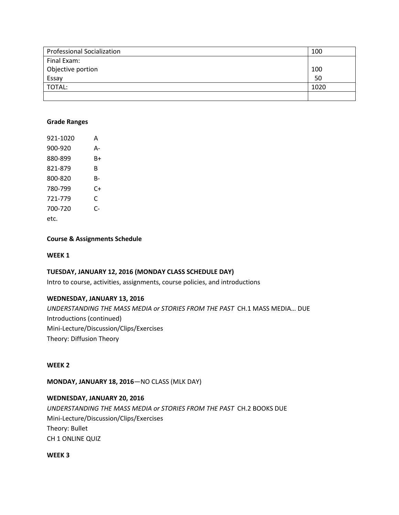| <b>Professional Socialization</b> | 100  |
|-----------------------------------|------|
| Final Exam:                       |      |
| Objective portion                 | 100  |
| Essay                             | 50   |
| TOTAL:                            | 1020 |
|                                   |      |

#### **Grade Ranges**

| 921-1020 | А  |
|----------|----|
| 900-920  | А- |
| 880-899  | B+ |
| 821-879  | R  |
| 800-820  | R- |
| 780-799  | C+ |
| 721-779  | C  |
| 700-720  | r- |
| etc.     |    |

#### **Course & Assignments Schedule**

#### **WEEK 1**

## **TUESDAY, JANUARY 12, 2016 (MONDAY CLASS SCHEDULE DAY)**

Intro to course, activities, assignments, course policies, and introductions

## **WEDNESDAY, JANUARY 13, 2016**

*UNDERSTANDING THE MASS MEDIA or STORIES FROM THE PAST* CH.1 MASS MEDIA… DUE Introductions (continued) Mini-Lecture/Discussion/Clips/Exercises Theory: Diffusion Theory

#### **WEEK 2**

**MONDAY, JANUARY 18, 2016**—NO CLASS (MLK DAY)

## **WEDNESDAY, JANUARY 20, 2016**

*UNDERSTANDING THE MASS MEDIA or STORIES FROM THE PAST* CH.2 BOOKS DUE Mini-Lecture/Discussion/Clips/Exercises Theory: Bullet CH 1 ONLINE QUIZ

**WEEK 3**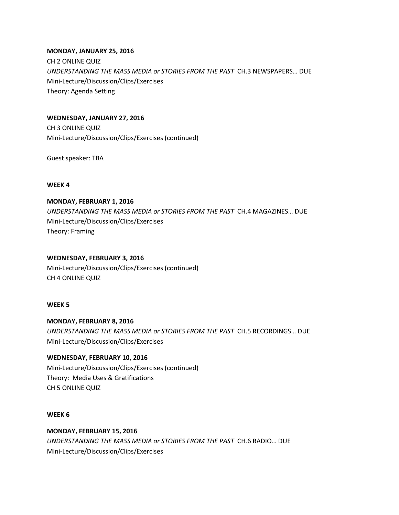## **MONDAY, JANUARY 25, 2016**

CH 2 ONLINE QUIZ *UNDERSTANDING THE MASS MEDIA or STORIES FROM THE PAST* CH.3 NEWSPAPERS… DUE Mini-Lecture/Discussion/Clips/Exercises Theory: Agenda Setting

## **WEDNESDAY, JANUARY 27, 2016**

CH 3 ONLINE QUIZ Mini-Lecture/Discussion/Clips/Exercises (continued)

Guest speaker: TBA

## **WEEK 4**

# **MONDAY, FEBRUARY 1, 2016**

*UNDERSTANDING THE MASS MEDIA or STORIES FROM THE PAST* CH.4 MAGAZINES… DUE Mini-Lecture/Discussion/Clips/Exercises Theory: Framing

## **WEDNESDAY, FEBRUARY 3, 2016**

Mini-Lecture/Discussion/Clips/Exercises (continued) CH 4 ONLINE QUIZ

## **WEEK 5**

**MONDAY, FEBRUARY 8, 2016** *UNDERSTANDING THE MASS MEDIA or STORIES FROM THE PAST* CH.5 RECORDINGS… DUE Mini-Lecture/Discussion/Clips/Exercises

# **WEDNESDAY, FEBRUARY 10, 2016**

Mini-Lecture/Discussion/Clips/Exercises (continued) Theory: Media Uses & Gratifications CH 5 ONLINE QUIZ

## **WEEK 6**

# **MONDAY, FEBRUARY 15, 2016**

*UNDERSTANDING THE MASS MEDIA or STORIES FROM THE PAST* CH.6 RADIO… DUE Mini-Lecture/Discussion/Clips/Exercises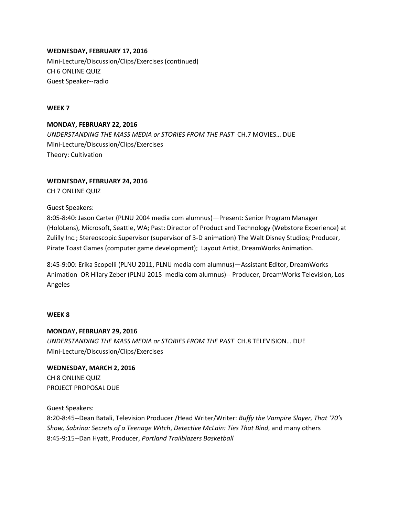**WEDNESDAY, FEBRUARY 17, 2016** Mini-Lecture/Discussion/Clips/Exercises (continued) CH 6 ONLINE QUIZ Guest Speaker--radio

## **WEEK 7**

**MONDAY, FEBRUARY 22, 2016** *UNDERSTANDING THE MASS MEDIA or STORIES FROM THE PAST* CH.7 MOVIES… DUE Mini-Lecture/Discussion/Clips/Exercises Theory: Cultivation

## **WEDNESDAY, FEBRUARY 24, 2016**

CH 7 ONLINE QUIZ

Guest Speakers:

8:05-8:40: Jason Carter (PLNU 2004 media com alumnus)—Present: Senior Program Manager (HoloLens), Microsoft, Seattle, WA; Past: Director of Product and Technology (Webstore Experience) at Zulilly Inc.; Stereoscopic Supervisor (supervisor of 3-D animation) The Walt Disney Studios; Producer, Pirate Toast Games (computer game development); Layout Artist, DreamWorks Animation.

8:45-9:00: Erika Scopelli (PLNU 2011, PLNU media com alumnus)—Assistant Editor, DreamWorks Animation OR Hilary Zeber (PLNU 2015 media com alumnus)-- Producer, DreamWorks Television, Los Angeles

## **WEEK 8**

## **MONDAY, FEBRUARY 29, 2016**

*UNDERSTANDING THE MASS MEDIA or STORIES FROM THE PAST* CH.8 TELEVISION… DUE Mini-Lecture/Discussion/Clips/Exercises

**WEDNESDAY, MARCH 2, 2016** CH 8 ONLINE QUIZ PROJECT PROPOSAL DUE

Guest Speakers:

8:20-8:45--Dean Batali, Television Producer /Head Writer/Writer: *Buffy the Vampire Slayer, That '70's Show, Sabrina: Secrets of a Teenage Witch*, *Detective McLain: Ties That Bind*, and many others 8:45-9:15--Dan Hyatt, Producer, *Portland Trailblazers Basketball*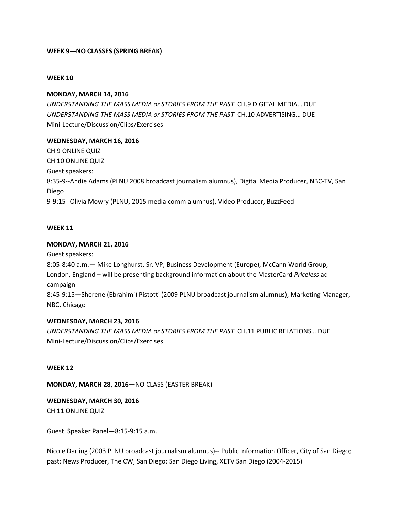## **WEEK 9—NO CLASSES (SPRING BREAK)**

#### **WEEK 10**

#### **MONDAY, MARCH 14, 2016**

*UNDERSTANDING THE MASS MEDIA or STORIES FROM THE PAST* CH.9 DIGITAL MEDIA… DUE *UNDERSTANDING THE MASS MEDIA or STORIES FROM THE PAST* CH.10 ADVERTISING… DUE Mini-Lecture/Discussion/Clips/Exercises

#### **WEDNESDAY, MARCH 16, 2016**

CH 9 ONLINE QUIZ CH 10 ONLINE QUIZ Guest speakers: 8:35-9--Andie Adams (PLNU 2008 broadcast journalism alumnus), Digital Media Producer, NBC-TV, San Diego 9-9:15--Olivia Mowry (PLNU, 2015 media comm alumnus), Video Producer, BuzzFeed

#### **WEEK 11**

#### **MONDAY, MARCH 21, 2016**

Guest speakers:

8:05-8:40 a.m.— Mike Longhurst, Sr. VP, Business Development (Europe), McCann World Group, London, England – will be presenting background information about the MasterCard *Priceless* ad campaign

8:45-9:15—Sherene (Ebrahimi) Pistotti (2009 PLNU broadcast journalism alumnus), Marketing Manager, NBC, Chicago

#### **WEDNESDAY, MARCH 23, 2016**

*UNDERSTANDING THE MASS MEDIA or STORIES FROM THE PAST* CH.11 PUBLIC RELATIONS… DUE Mini-Lecture/Discussion/Clips/Exercises

#### **WEEK 12**

**MONDAY, MARCH 28, 2016—**NO CLASS (EASTER BREAK)

**WEDNESDAY, MARCH 30, 2016** CH 11 ONLINE QUIZ

Guest Speaker Panel—8:15-9:15 a.m.

Nicole Darling (2003 PLNU broadcast journalism alumnus)-- Public Information Officer, City of San Diego; past: News Producer, The CW, San Diego; San Diego Living, XETV San Diego (2004-2015)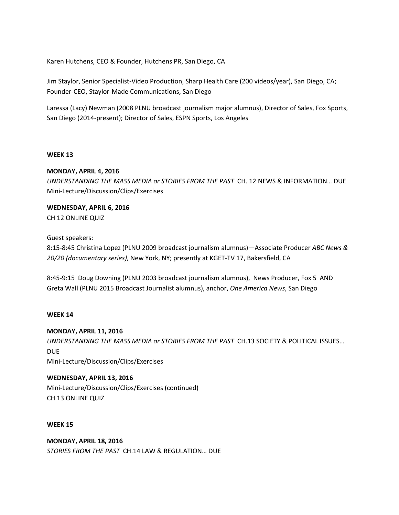Karen Hutchens, CEO & Founder, Hutchens PR, San Diego, CA

Jim Staylor, Senior Specialist-Video Production, Sharp Health Care (200 videos/year), San Diego, CA; Founder-CEO, Staylor-Made Communications, San Diego

Laressa (Lacy) Newman (2008 PLNU broadcast journalism major alumnus), Director of Sales, Fox Sports, San Diego (2014-present); Director of Sales, ESPN Sports, Los Angeles

#### **WEEK 13**

## **MONDAY, APRIL 4, 2016**

*UNDERSTANDING THE MASS MEDIA or STORIES FROM THE PAST* CH. 12 NEWS & INFORMATION… DUE Mini-Lecture/Discussion/Clips/Exercises

## **WEDNESDAY, APRIL 6, 2016** CH 12 ONLINE QUIZ

## Guest speakers:

8:15-8:45 Christina Lopez (PLNU 2009 broadcast journalism alumnus)—Associate Producer *ABC News & 20/20 (documentary series)*, New York, NY; presently at KGET-TV 17, Bakersfield, CA

8:45-9:15 Doug Downing (PLNU 2003 broadcast journalism alumnus), News Producer, Fox 5 AND Greta Wall (PLNU 2015 Broadcast Journalist alumnus), anchor, *One America News*, San Diego

#### **WEEK 14**

#### **MONDAY, APRIL 11, 2016**

*UNDERSTANDING THE MASS MEDIA or STORIES FROM THE PAST* CH.13 SOCIETY & POLITICAL ISSUES… DUE

Mini-Lecture/Discussion/Clips/Exercises

## **WEDNESDAY, APRIL 13, 2016**

Mini-Lecture/Discussion/Clips/Exercises (continued) CH 13 ONLINE QUIZ

#### **WEEK 15**

**MONDAY, APRIL 18, 2016** *STORIES FROM THE PAST* CH.14 LAW & REGULATION… DUE